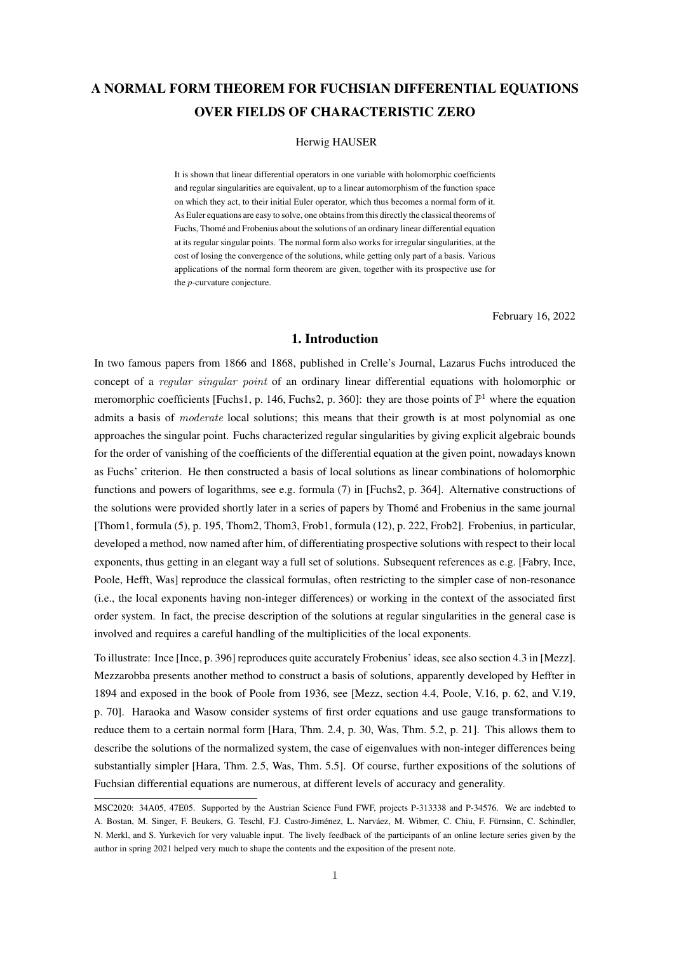# A NORMAL FORM THEOREM FOR FUCHSIAN DIFFERENTIAL EQUATIONS OVER FIELDS OF CHARACTERISTIC ZERO

## Herwig HAUSER

It is shown that linear differential operators in one variable with holomorphic coefficients and regular singularities are equivalent, up to a linear automorphism of the function space on which they act, to their initial Euler operator, which thus becomes a normal form of it. As Euler equations are easy to solve, one obtains from this directly the classical theorems of Fuchs, Thomé and Frobenius about the solutions of an ordinary linear differential equation at its regular singular points. The normal form also works for irregular singularities, at the cost of losing the convergence of the solutions, while getting only part of a basis. Various applications of the normal form theorem are given, together with its prospective use for the *p*-curvature conjecture.

February 16, 2022

## 1. Introduction

In two famous papers from 1866 and 1868, published in Crelle's Journal, Lazarus Fuchs introduced the concept of a *regular singular point* of an ordinary linear differential equations with holomorphic or meromorphic coefficients [Fuchs1, p. 146, Fuchs2, p. 360]: they are those points of  $\mathbb{P}^1$  where the equation admits a basis of *moderate* local solutions; this means that their growth is at most polynomial as one approaches the singular point. Fuchs characterized regular singularities by giving explicit algebraic bounds for the order of vanishing of the coefficients of the differential equation at the given point, nowadays known as Fuchs' criterion. He then constructed a basis of local solutions as linear combinations of holomorphic functions and powers of logarithms, see e.g. formula (7) in [Fuchs2, p. 364]. Alternative constructions of the solutions were provided shortly later in a series of papers by Thome and Frobenius in the same journal ´ [Thom1, formula (5), p. 195, Thom2, Thom3, Frob1, formula (12), p. 222, Frob2]. Frobenius, in particular, developed a method, now named after him, of differentiating prospective solutions with respect to their local exponents, thus getting in an elegant way a full set of solutions. Subsequent references as e.g. [Fabry, Ince, Poole, Hefft, Was] reproduce the classical formulas, often restricting to the simpler case of non-resonance (i.e., the local exponents having non-integer differences) or working in the context of the associated first order system. In fact, the precise description of the solutions at regular singularities in the general case is involved and requires a careful handling of the multiplicities of the local exponents.

To illustrate: Ince [Ince, p. 396] reproduces quite accurately Frobenius' ideas, see also section 4.3 in [Mezz]. Mezzarobba presents another method to construct a basis of solutions, apparently developed by Heffter in 1894 and exposed in the book of Poole from 1936, see [Mezz, section 4.4, Poole, V.16, p. 62, and V.19, p. 70]. Haraoka and Wasow consider systems of first order equations and use gauge transformations to reduce them to a certain normal form [Hara, Thm. 2.4, p. 30, Was, Thm. 5.2, p. 21]. This allows them to describe the solutions of the normalized system, the case of eigenvalues with non-integer differences being substantially simpler [Hara, Thm. 2.5, Was, Thm. 5.5]. Of course, further expositions of the solutions of Fuchsian differential equations are numerous, at different levels of accuracy and generality.

MSC2020: 34A05, 47E05. Supported by the Austrian Science Fund FWF, projects P-313338 and P-34576. We are indebted to A. Bostan, M. Singer, F. Beukers, G. Teschl, F.J. Castro-Jiménez, L. Narváez, M. Wibmer, C. Chiu, F. Fürnsinn, C. Schindler, N. Merkl, and S. Yurkevich for very valuable input. The lively feedback of the participants of an online lecture series given by the author in spring 2021 helped very much to shape the contents and the exposition of the present note.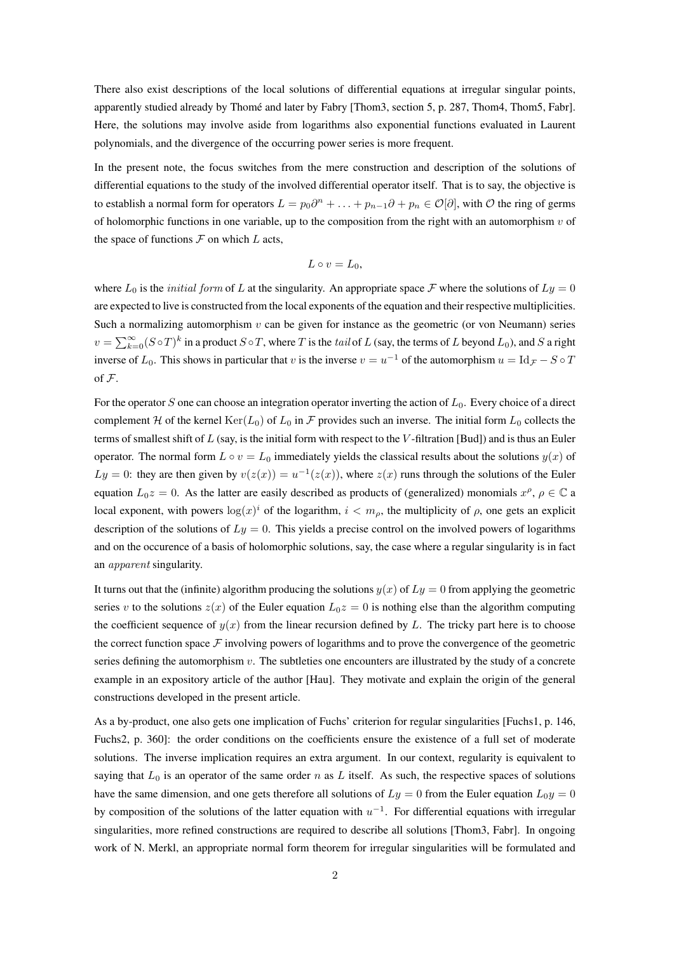There also exist descriptions of the local solutions of differential equations at irregular singular points, apparently studied already by Thomé and later by Fabry [Thom3, section 5, p. 287, Thom4, Thom5, Fabr]. Here, the solutions may involve aside from logarithms also exponential functions evaluated in Laurent polynomials, and the divergence of the occurring power series is more frequent.

In the present note, the focus switches from the mere construction and description of the solutions of differential equations to the study of the involved differential operator itself. That is to say, the objective is to establish a normal form for operators  $L = p_0 \partial^n + \ldots + p_{n-1} \partial + p_n \in \mathcal{O}[\partial]$ , with  $\mathcal O$  the ring of germs of holomorphic functions in one variable, up to the composition from the right with an automorphism  $v$  of the space of functions  $F$  on which  $L$  acts,

$$
L\circ v=L_0,
$$

where  $L_0$  is the *initial form* of L at the singularity. An appropriate space F where the solutions of  $Ly = 0$ are expected to live is constructed from the local exponents of the equation and their respective multiplicities. Such a normalizing automorphism  $v$  can be given for instance as the geometric (or von Neumann) series  $v = \sum_{k=0}^{\infty} (S \circ T)^k$  in a product  $S \circ T$ , where T is the tail of L (say, the terms of L beyond  $L_0$ ), and S a right inverse of  $L_0$ . This shows in particular that v is the inverse  $v = u^{-1}$  of the automorphism  $u = \text{Id}_{\mathcal{F}} - S \circ T$ of F.

For the operator S one can choose an integration operator inverting the action of  $L_0$ . Every choice of a direct complement H of the kernel  $\text{Ker}(L_0)$  of  $L_0$  in F provides such an inverse. The initial form  $L_0$  collects the terms of smallest shift of  $L$  (say, is the initial form with respect to the  $V$ -filtration [Bud]) and is thus an Euler operator. The normal form  $L \circ v = L_0$  immediately yields the classical results about the solutions  $y(x)$  of  $Ly = 0$ : they are then given by  $v(z(x)) = u^{-1}(z(x))$ , where  $z(x)$  runs through the solutions of the Euler equation  $L_0z = 0$ . As the latter are easily described as products of (generalized) monomials  $x^{\rho}$ ,  $\rho \in \mathbb{C}$  a local exponent, with powers  $\log(x)^i$  of the logarithm,  $i < m_\rho$ , the multiplicity of  $\rho$ , one gets an explicit description of the solutions of  $Ly = 0$ . This yields a precise control on the involved powers of logarithms and on the occurence of a basis of holomorphic solutions, say, the case where a regular singularity is in fact an apparent singularity.

It turns out that the (infinite) algorithm producing the solutions  $y(x)$  of  $Ly = 0$  from applying the geometric series v to the solutions  $z(x)$  of the Euler equation  $L_0z = 0$  is nothing else than the algorithm computing the coefficient sequence of  $y(x)$  from the linear recursion defined by L. The tricky part here is to choose the correct function space  $\mathcal F$  involving powers of logarithms and to prove the convergence of the geometric series defining the automorphism  $v$ . The subtleties one encounters are illustrated by the study of a concrete example in an expository article of the author [Hau]. They motivate and explain the origin of the general constructions developed in the present article.

As a by-product, one also gets one implication of Fuchs' criterion for regular singularities [Fuchs1, p. 146, Fuchs2, p. 360]: the order conditions on the coefficients ensure the existence of a full set of moderate solutions. The inverse implication requires an extra argument. In our context, regularity is equivalent to saying that  $L_0$  is an operator of the same order n as L itself. As such, the respective spaces of solutions have the same dimension, and one gets therefore all solutions of  $Ly = 0$  from the Euler equation  $L_0y = 0$ by composition of the solutions of the latter equation with  $u^{-1}$ . For differential equations with irregular singularities, more refined constructions are required to describe all solutions [Thom3, Fabr]. In ongoing work of N. Merkl, an appropriate normal form theorem for irregular singularities will be formulated and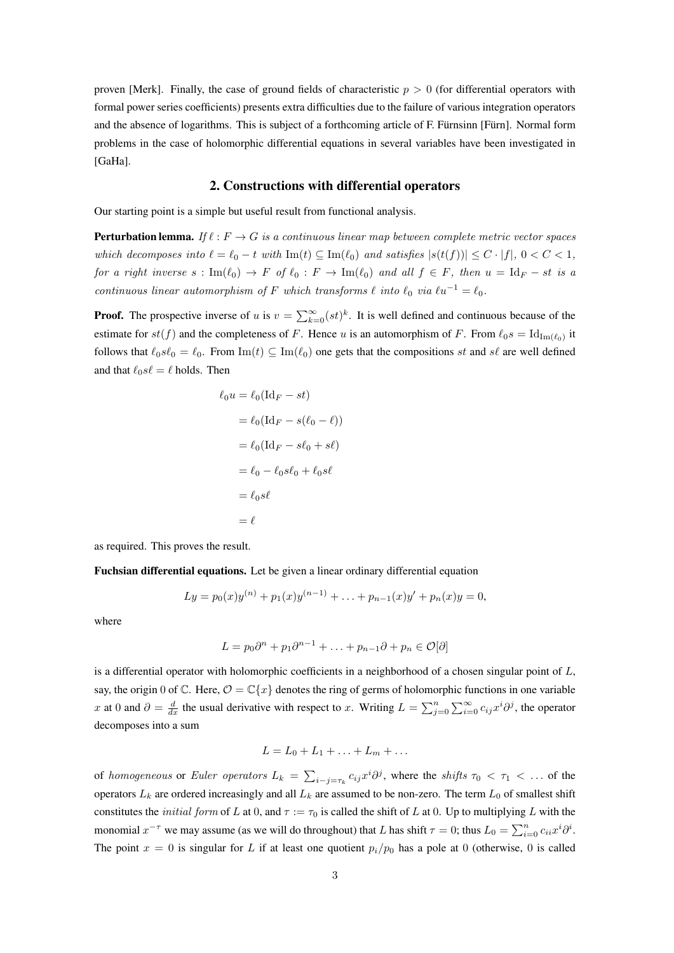proven [Merk]. Finally, the case of ground fields of characteristic  $p > 0$  (for differential operators with formal power series coefficients) presents extra difficulties due to the failure of various integration operators and the absence of logarithms. This is subject of a forthcoming article of F. Fürnsinn [Fürn]. Normal form problems in the case of holomorphic differential equations in several variables have been investigated in [GaHa].

## 2. Constructions with differential operators

Our starting point is a simple but useful result from functional analysis.

**Perturbation lemma.** If  $\ell : F \to G$  is a continuous linear map between complete metric vector spaces which decomposes into  $\ell = \ell_0 - t$  with Im(t)  $\subseteq$  Im( $\ell_0$ ) and satisfies  $|s(t(f))| \leq C \cdot |f|$ ,  $0 < C < 1$ , for a right inverse  $s : \text{Im}(\ell_0) \to F$  of  $\ell_0 : F \to \text{Im}(\ell_0)$  and all  $f \in F$ , then  $u = \text{Id}_F - st$  is a continuous linear automorphism of F which transforms  $\ell$  into  $\ell_0$  via  $\ell u^{-1} = \ell_0$ .

**Proof.** The prospective inverse of u is  $v = \sum_{k=0}^{\infty} (st)^k$ . It is well defined and continuous because of the estimate for  $st(f)$  and the completeness of F. Hence u is an automorphism of F. From  $\ell_0 s = \text{Id}_{\text{Im}(\ell_0)}$  it follows that  $\ell_0 s\ell_0 = \ell_0$ . From Im(t)  $\subseteq \text{Im}(\ell_0)$  one gets that the compositions st and s $\ell$  are well defined and that  $\ell_0 s\ell = \ell$  holds. Then

$$
\ell_0 u = \ell_0 (\text{Id}_F - st)
$$
  
=  $\ell_0 (\text{Id}_F - s(\ell_0 - \ell))$   
=  $\ell_0 (\text{Id}_F - s\ell_0 + s\ell)$   
=  $\ell_0 - \ell_0 s\ell_0 + \ell_0 s\ell$   
=  $\ell_0 s\ell$   
=  $\ell$ 

as required. This proves the result.

Fuchsian differential equations. Let be given a linear ordinary differential equation

$$
Ly = p_0(x)y^{(n)} + p_1(x)y^{(n-1)} + \ldots + p_{n-1}(x)y' + p_n(x)y = 0,
$$

where

$$
L = p_0 \partial^n + p_1 \partial^{n-1} + \ldots + p_{n-1} \partial + p_n \in \mathcal{O}[\partial]
$$

is a differential operator with holomorphic coefficients in a neighborhood of a chosen singular point of  $L$ , say, the origin 0 of  $\mathbb C$ . Here,  $\mathcal O = \mathbb C\{x\}$  denotes the ring of germs of holomorphic functions in one variable x at 0 and  $\partial = \frac{d}{dx}$  the usual derivative with respect to x. Writing  $L = \sum_{j=0}^{n} \sum_{i=0}^{\infty} c_{ij} x^{i} \partial^{j}$ , the operator decomposes into a sum

$$
L = L_0 + L_1 + \ldots + L_m + \ldots
$$

of *homogeneous* or *Euler operators*  $L_k = \sum_{i-j=\tau_k} c_{ij} x^i \partial^j$ , where the *shifts*  $\tau_0 < \tau_1 < \ldots$  of the operators  $L_k$  are ordered increasingly and all  $L_k$  are assumed to be non-zero. The term  $L_0$  of smallest shift constitutes the *initial form* of L at 0, and  $\tau := \tau_0$  is called the shift of L at 0. Up to multiplying L with the monomial  $x^{-\tau}$  we may assume (as we will do throughout) that L has shift  $\tau = 0$ ; thus  $L_0 = \sum_{i=0}^n c_{ii} x^i \partial^i$ . The point  $x = 0$  is singular for L if at least one quotient  $p_i/p_0$  has a pole at 0 (otherwise, 0 is called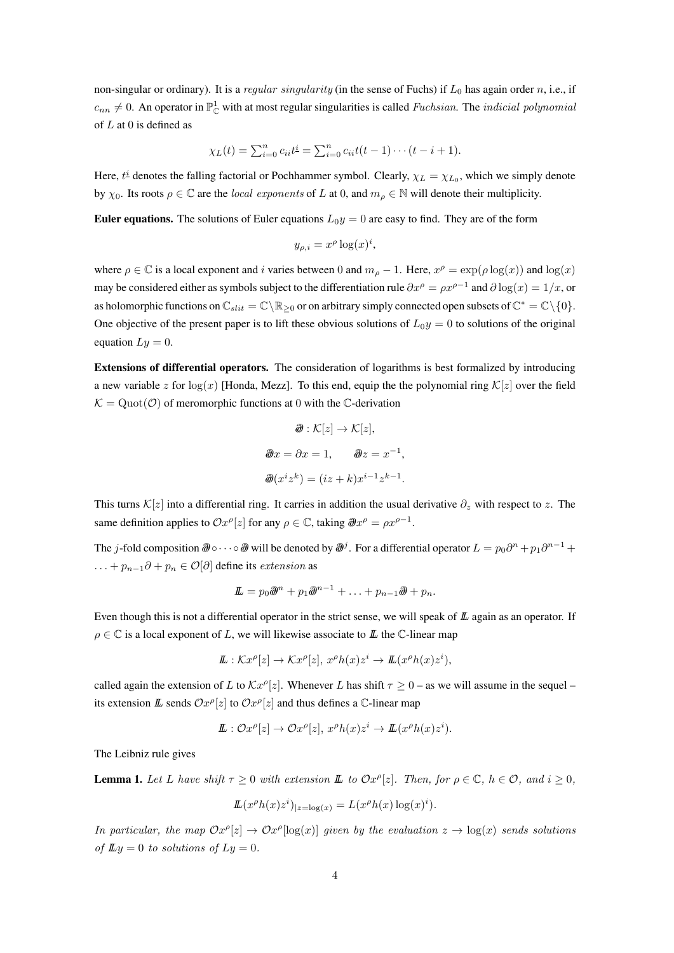non-singular or ordinary). It is a regular singularity (in the sense of Fuchs) if  $L_0$  has again order n, i.e., if  $c_{nn} \neq 0$ . An operator in  $\mathbb{P}^1_{\mathbb{C}}$  with at most regular singularities is called *Fuchsian*. The *indicial polynomial* of  $L$  at 0 is defined as

$$
\chi_L(t) = \sum_{i=0}^n c_{ii} t^i = \sum_{i=0}^n c_{ii} t(t-1) \cdots (t-i+1).
$$

Here,  $t^{\underline{i}}$  denotes the falling factorial or Pochhammer symbol. Clearly,  $\chi_L = \chi_{L_0}$ , which we simply denote by  $\chi_0$ . Its roots  $\rho \in \mathbb{C}$  are the *local exponents* of L at 0, and  $m_\rho \in \mathbb{N}$  will denote their multiplicity.

**Euler equations.** The solutions of Euler equations  $L_0y = 0$  are easy to find. They are of the form

$$
y_{\rho,i} = x^{\rho} \log(x)^i,
$$

where  $\rho \in \mathbb{C}$  is a local exponent and i varies between 0 and  $m_{\rho} - 1$ . Here,  $x^{\rho} = \exp(\rho \log(x))$  and  $\log(x)$ may be considered either as symbols subject to the differentiation rule  $\partial x^{\rho} = \rho x^{\rho-1}$  and  $\partial \log(x) = 1/x$ , or as holomorphic functions on  $\mathbb{C}_{slit} = \mathbb{C} \setminus \mathbb{R}_{\geq 0}$  or on arbitrary simply connected open subsets of  $\mathbb{C}^* = \mathbb{C} \setminus \{0\}.$ One objective of the present paper is to lift these obvious solutions of  $L_0y = 0$  to solutions of the original equation  $Lu = 0$ .

Extensions of differential operators. The consideration of logarithms is best formalized by introducing a new variable z for  $log(x)$  [Honda, Mezz]. To this end, equip the the polynomial ring  $\mathcal{K}[z]$  over the field  $\mathcal{K} = \text{Quot}(\mathcal{O})$  of meromorphic functions at 0 with the C-derivation

$$
\mathcal{D}: \mathcal{K}[z] \to \mathcal{K}[z],
$$
  

$$
\mathcal{D}x = \partial x = 1, \qquad \mathcal{D}z = x^{-1},
$$
  

$$
\mathcal{D}(x^i z^k) = (iz + k)x^{i-1}z^{k-1}.
$$

This turns  $\mathcal{K}[z]$  into a differential ring. It carries in addition the usual derivative  $\partial_z$  with respect to z. The same definition applies to  $\mathcal{O}x^{\rho}[z]$  for any  $\rho \in \mathbb{C}$ , taking  $\partial \mathcal{D}x^{\rho} = \rho x^{\rho-1}$ .

The j-fold composition  $\partial\!\!\!/\,\circ\cdots\circ\partial\!\!\!/\,\circ$  will be denoted by  $\partial\!\!\!/\,^j$  . For a differential operator  $L=p_0\partial^n+p_1\partial^{n-1}+p_2\partial^{n-1}$  $\dots + p_{n-1}\partial + p_n \in \mathcal{O}[\partial]$  define its *extension* as

$$
\mathbf{L} = p_0 \mathbf{\partial}^{n} + p_1 \mathbf{\partial}^{n-1} + \ldots + p_{n-1} \mathbf{\partial}^{n} + p_n.
$$

Even though this is not a differential operator in the strict sense, we will speak of  $L$  again as an operator. If  $\rho \in \mathbb{C}$  is a local exponent of L, we will likewise associate to L the C-linear map

$$
\mathbf{L}: \mathcal{K}x^{\rho}[z] \to \mathcal{K}x^{\rho}[z], x^{\rho}h(x)z^{i} \to \mathbf{L}(x^{\rho}h(x)z^{i}),
$$

called again the extension of L to  $\mathcal{K}x^{\rho}[z]$ . Whenever L has shift  $\tau \geq 0$  – as we will assume in the sequel – its extension  $\mathbb{L}$  sends  $\mathcal{O}x^{\rho}[z]$  to  $\mathcal{O}x^{\rho}[z]$  and thus defines a C-linear map

$$
\mathbf{L}: \mathcal{O}x^{\rho}[z] \to \mathcal{O}x^{\rho}[z], x^{\rho}h(x)z^{i} \to \mathbf{L}(x^{\rho}h(x)z^{i}).
$$

The Leibniz rule gives

**Lemma 1.** Let L have shift  $\tau \geq 0$  with extension  $\mathbb{L}$  to  $\mathcal{O}x^{\rho}[z]$ . Then, for  $\rho \in \mathbb{C}$ ,  $h \in \mathcal{O}$ , and  $i \geq 0$ ,

$$
\mathbb{L}(x^{\rho}h(x)z^{i})_{|z=\log(x)} = L(x^{\rho}h(x)\log(x)^{i}).
$$

In particular, the map  $Ox^{\rho}[z] \to Ox^{\rho}[\log(x)]$  given by the evaluation  $z \to \log(x)$  sends solutions of  $\mathbb{L}y = 0$  to solutions of  $Ly = 0$ .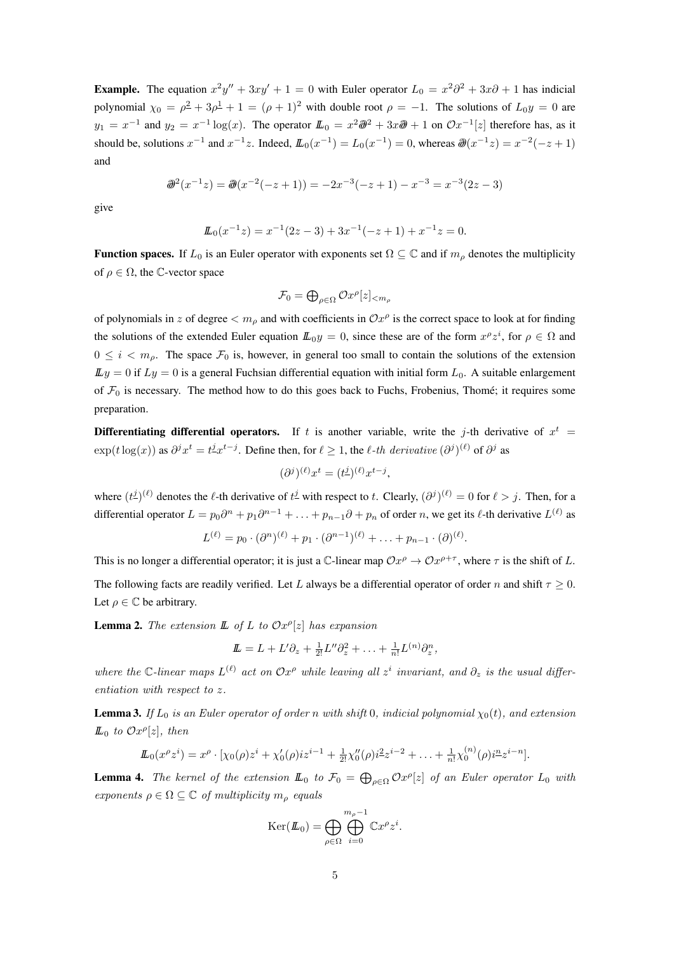**Example.** The equation  $x^2y'' + 3xy' + 1 = 0$  with Euler operator  $L_0 = x^2\partial^2 + 3x\partial + 1$  has indicial polynomial  $\chi_0 = \rho^2 + 3\rho^{\frac{1}{2}} + 1 = (\rho + 1)^2$  with double root  $\rho = -1$ . The solutions of  $L_0y = 0$  are  $y_1 = x^{-1}$  and  $y_2 = x^{-1} \log(x)$ . The operator  $L_0 = x^2 \partial^2 + 3x \partial^2 + 1$  on  $\mathcal{O}x^{-1}[z]$  therefore has, as it should be, solutions  $x^{-1}$  and  $x^{-1}z$ . Indeed,  $L_0(x^{-1}) = L_0(x^{-1}) = 0$ , whereas  $\partial\!\!\partial(x^{-1}z) = x^{-2}(-z+1)$ and

$$
\mathcal{D}^2(x^{-1}z) = \mathcal{D}(x^{-2}(-z+1)) = -2x^{-3}(-z+1) - x^{-3} = x^{-3}(2z-3)
$$

give

$$
L_0(x^{-1}z) = x^{-1}(2z - 3) + 3x^{-1}(-z + 1) + x^{-1}z = 0.
$$

**Function spaces.** If  $L_0$  is an Euler operator with exponents set  $\Omega \subseteq \mathbb{C}$  and if  $m_o$  denotes the multiplicity of  $\rho \in \Omega$ , the C-vector space

$$
\mathcal{F}_0 = \bigoplus_{\rho \in \Omega} \mathcal{O}x^{\rho}[z]_{< m_\rho}
$$

of polynomials in z of degree  $\langle m_\rho$  and with coefficients in  $\mathcal{O}x^\rho$  is the correct space to look at for finding the solutions of the extended Euler equation  $\mathbb{L}_{0}y = 0$ , since these are of the form  $x^{\rho}z^{i}$ , for  $\rho \in \Omega$  and  $0 \leq i \leq m_{\rho}$ . The space  $\mathcal{F}_0$  is, however, in general too small to contain the solutions of the extension  $\mathbb{L}y = 0$  if  $\mathbb{L}y = 0$  is a general Fuchsian differential equation with initial form  $\mathbb{L}_0$ . A suitable enlargement of  $\mathcal{F}_0$  is necessary. The method how to do this goes back to Fuchs, Frobenius, Thomé; it requires some preparation.

**Differentiating differential operators.** If t is another variable, write the j-th derivative of  $x^t$  =  $\exp(t \log(x))$  as  $\partial^j x^t = t^j x^{t-j}$ . Define then, for  $\ell \ge 1$ , the  $\ell$ -th derivative  $(\partial^j)^{(\ell)}$  of  $\partial^j$  as

$$
(\partial^j)^{(\ell)} x^t = (t^{\underline{j}})^{(\ell)} x^{t-j},
$$

where  $(t^j)^{(\ell)}$  denotes the  $\ell$ -th derivative of  $t^j$  with respect to t. Clearly,  $(\partial^j)^{(\ell)} = 0$  for  $\ell > j$ . Then, for a differential operator  $L = p_0 \partial^n + p_1 \partial^{n-1} + \ldots + p_{n-1} \partial + p_n$  of order n, we get its  $\ell$ -th derivative  $L^{(\ell)}$  as

$$
L^{(\ell)} = p_0 \cdot (\partial^n)^{(\ell)} + p_1 \cdot (\partial^{n-1})^{(\ell)} + \ldots + p_{n-1} \cdot (\partial)^{(\ell)}.
$$

This is no longer a differential operator; it is just a C-linear map  $\mathcal{O}x^{\rho} \to \mathcal{O}x^{\rho+\tau}$ , where  $\tau$  is the shift of L. The following facts are readily verified. Let L always be a differential operator of order n and shift  $\tau \geq 0$ . Let  $\rho \in \mathbb{C}$  be arbitrary.

**Lemma 2.** The extension  $\mathbb{L}$  of  $L$  to  $Ox^{\rho}[z]$  has expansion

$$
\underline{\mathbf{L}} = L + L'\partial_z + \tfrac{1}{2!}L''\partial_z^2 + \ldots + \tfrac{1}{n!}L^{(n)}\partial_z^n,
$$

where the C-linear maps  $L^{(\ell)}$  act on  $\mathcal{O}x^{\rho}$  while leaving all  $z^i$  invariant, and  $\partial_z$  is the usual differentiation with respect to z.

**Lemma 3.** If  $L_0$  is an Euler operator of order n with shift 0, indicial polynomial  $\chi_0(t)$ , and extension  $\mathbb{L}_0$  to  $\mathcal{O}x^{\rho}[z]$ , then

$$
\underline{L}_0(x^{\rho}z^i) = x^{\rho} \cdot [\chi_0(\rho)z^i + \chi'_0(\rho)iz^{i-1} + \frac{1}{2!}\chi''_0(\rho)i^2z^{i-2} + \ldots + \frac{1}{n!}\chi^{(n)}_0(\rho)i^{\underline{n}}z^{i-n}].
$$

**Lemma 4.** The kernel of the extension  $\mathbb{L}_0$  to  $\mathcal{F}_0 = \bigoplus_{\rho \in \Omega} \mathcal{O}x^{\rho}[z]$  of an Euler operator  $L_0$  with exponents  $\rho \in \Omega \subseteq \mathbb{C}$  of multiplicity  $m_{\rho}$  equals

$$
Ker(\mathbf{L}_0) = \bigoplus_{\rho \in \Omega} \bigoplus_{i=0}^{m_{\rho}-1} \mathbb{C}x^{\rho} z^i.
$$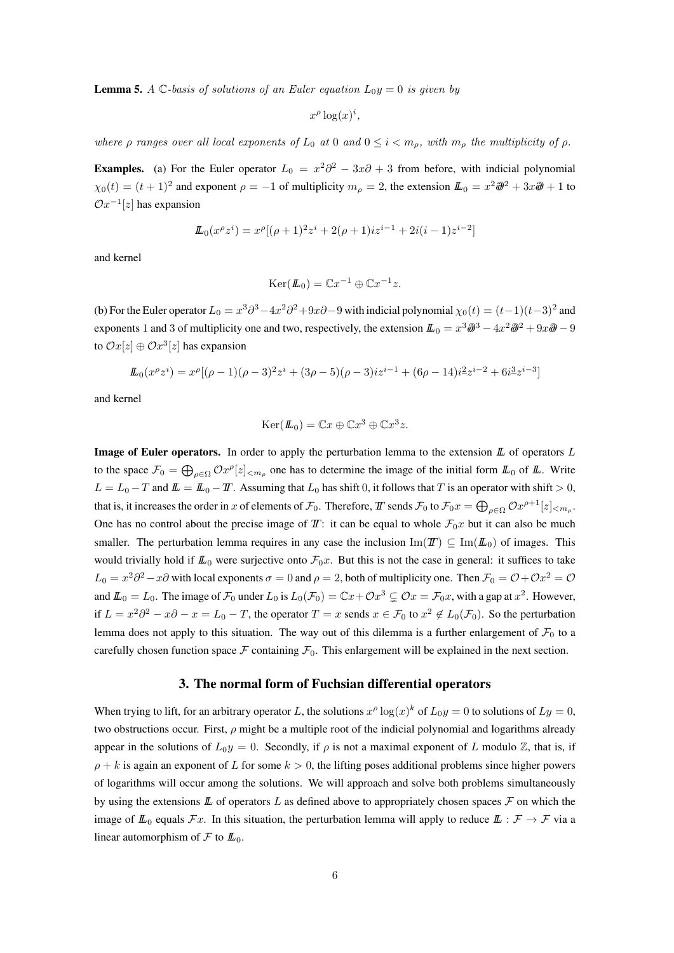**Lemma 5.** A C-basis of solutions of an Euler equation  $L_0y = 0$  is given by

$$
x^{\rho} \log(x)^i
$$

where  $\rho$  ranges over all local exponents of  $L_0$  at 0 and  $0 \leq i \leq m_\rho$ , with  $m_\rho$  the multiplicity of  $\rho$ .

**Examples.** (a) For the Euler operator  $L_0 = x^2\partial^2 - 3x\partial + 3$  from before, with indicial polynomial  $\chi_0(t) = (t+1)^2$  and exponent  $\rho = -1$  of multiplicity  $m_\rho = 2$ , the extension  $\mathbf{L}_0 = x^2 \partial\!\theta^2 + 3x\partial\!\theta + 1$  to  $\mathcal{O}x^{-1}[z]$  has expansion

$$
\underline{\mathbf{L}}_0(x^{\rho}z^i) = x^{\rho}[(\rho+1)^2z^i + 2(\rho+1)iz^{i-1} + 2i(i-1)z^{i-2}]
$$

and kernel

$$
Ker(\mathbf{L}_0) = \mathbb{C}x^{-1} \oplus \mathbb{C}x^{-1}z.
$$

(b) For the Euler operator  $L_0 = x^3 \partial^3 - 4x^2 \partial^2 + 9x \partial - 9$  with indicial polynomial  $\chi_0(t) = (t-1)(t-3)^2$  and exponents 1 and 3 of multiplicity one and two, respectively, the extension  $L_0 = x^3 \partial^3 - 4x^2 \partial^2 + 9x \partial^2 - 9$ to  $\mathcal{O}x[z] \oplus \mathcal{O}x^3[z]$  has expansion

$$
\mathcal{L}_0(x^{\rho}z^i) = x^{\rho}[(\rho - 1)(\rho - 3)^2 z^i + (3\rho - 5)(\rho - 3)iz^{i-1} + (6\rho - 14)i^2 z^{i-2} + 6i^3 z^{i-3}]
$$

and kernel

$$
Ker(\mathbf{L}_0) = \mathbb{C}x \oplus \mathbb{C}x^3 \oplus \mathbb{C}x^3z.
$$

**Image of Euler operators.** In order to apply the perturbation lemma to the extension  $\mathbb{L}$  of operators  $L$ to the space  $\mathcal{F}_0 = \bigoplus_{\rho \in \Omega} \mathcal{O}x^{\rho}[z]_{\leq m_{\rho}}$  one has to determine the image of the initial form  $L_0$  of  $L$ . Write  $L = L_0 - T$  and  $L = L_0 - T$ . Assuming that  $L_0$  has shift 0, it follows that T is an operator with shift > 0, that is, it increases the order in x of elements of  $\mathcal{F}_0$ . Therefore,  $T$  sends  $\mathcal{F}_0$  to  $\mathcal{F}_0x = \bigoplus_{\rho \in \Omega} \mathcal{O}x^{\rho+1}[z]_{\leq m_\rho}.$ One has no control about the precise image of  $T$ : it can be equal to whole  $\mathcal{F}_0x$  but it can also be much smaller. The perturbation lemma requires in any case the inclusion  $\text{Im}(\mathcal{I}\mathcal{I}) \subseteq \text{Im}(\mathcal{L}_0)$  of images. This would trivially hold if  $\mathbb{L}_0$  were surjective onto  $\mathcal{F}_0x$ . But this is not the case in general: it suffices to take  $L_0 = x^2\partial^2 - x\partial$  with local exponents  $\sigma = 0$  and  $\rho = 2$ , both of multiplicity one. Then  $\mathcal{F}_0 = \mathcal{O} + \mathcal{O}x^2 = \mathcal{O}$ and  $\mathbb{L}_0 = L_0$ . The image of  $\mathcal{F}_0$  under  $L_0$  is  $L_0(\mathcal{F}_0) = \mathbb{C}x + \mathcal{O}x^3 \subsetneq \mathcal{O}x = \mathcal{F}_0x$ , with a gap at  $x^2$ . However, if  $L = x^2\partial^2 - x\partial - x = L_0 - T$ , the operator  $T = x$  sends  $x \in \mathcal{F}_0$  to  $x^2 \notin L_0(\mathcal{F}_0)$ . So the perturbation lemma does not apply to this situation. The way out of this dilemma is a further enlargement of  $\mathcal{F}_0$  to a carefully chosen function space F containing  $\mathcal{F}_0$ . This enlargement will be explained in the next section.

#### 3. The normal form of Fuchsian differential operators

When trying to lift, for an arbitrary operator L, the solutions  $x^{\rho} \log(x)^k$  of  $L_0 y = 0$  to solutions of  $Ly = 0$ , two obstructions occur. First,  $\rho$  might be a multiple root of the indicial polynomial and logarithms already appear in the solutions of  $L_0y = 0$ . Secondly, if  $\rho$  is not a maximal exponent of L modulo Z, that is, if  $\rho + k$  is again an exponent of L for some  $k > 0$ , the lifting poses additional problems since higher powers of logarithms will occur among the solutions. We will approach and solve both problems simultaneously by using the extensions  $\mathbb L$  of operators  $L$  as defined above to appropriately chosen spaces  $\mathcal F$  on which the image of  $\mathbb{L}_0$  equals  $\mathcal{F}x$ . In this situation, the perturbation lemma will apply to reduce  $\mathbb{L}: \mathcal{F} \to \mathcal{F}$  via a linear automorphism of  $\mathcal F$  to  $\mathbb L_0$ .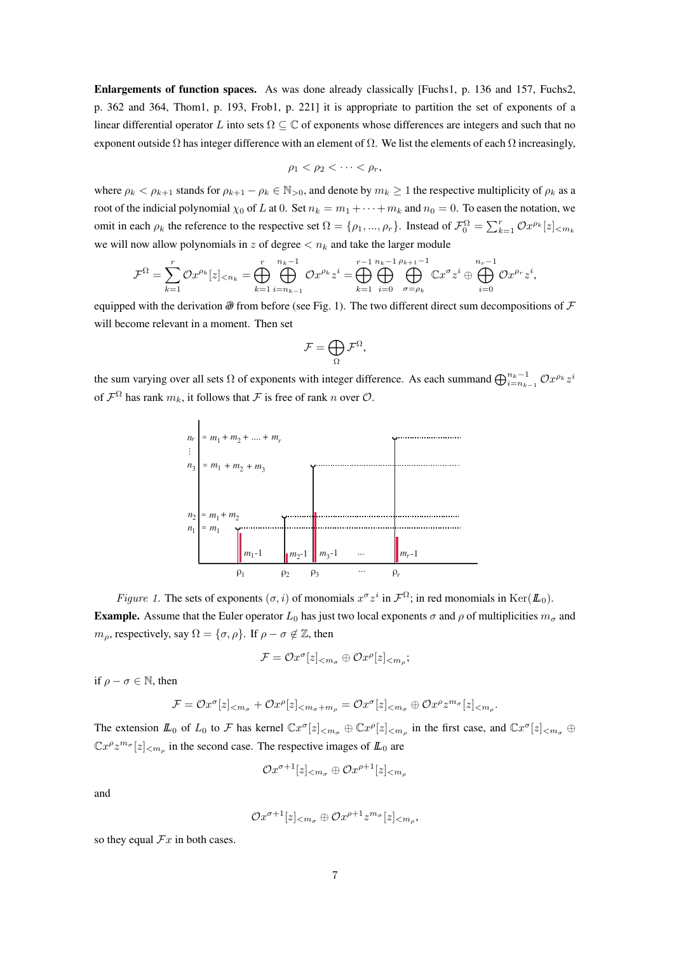Enlargements of function spaces. As was done already classically [Fuchs1, p. 136 and 157, Fuchs2, p. 362 and 364, Thom1, p. 193, Frob1, p. 221] it is appropriate to partition the set of exponents of a linear differential operator L into sets  $\Omega \subseteq \mathbb{C}$  of exponents whose differences are integers and such that no exponent outside  $\Omega$  has integer difference with an element of  $\Omega$ . We list the elements of each  $\Omega$  increasingly,

$$
\rho_1 < \rho_2 < \cdots < \rho_r,
$$

where  $\rho_k < \rho_{k+1}$  stands for  $\rho_{k+1} - \rho_k \in \mathbb{N}_{>0}$ , and denote by  $m_k \geq 1$  the respective multiplicity of  $\rho_k$  as a root of the indicial polynomial  $\chi_0$  of L at 0. Set  $n_k = m_1 + \cdots + m_k$  and  $n_0 = 0$ . To easen the notation, we omit in each  $\rho_k$  the reference to the respective set  $\Omega = \{\rho_1, ..., \rho_r\}$ . Instead of  $\mathcal{F}_0^{\Omega} = \sum_{k=1}^r \mathcal{O}x^{\rho_k}[z]_{\leq m_k}$ we will now allow polynomials in z of degree  $\langle n_k \rangle$  and take the larger module

$$
\mathcal{F}^{\Omega} = \sum_{k=1}^{r} \mathcal{O}x^{\rho_k}[z]_{\leq n_k} = \bigoplus_{k=1}^{r} \bigoplus_{i=n_{k-1}}^{n_{k-1}} \mathcal{O}x^{\rho_k}z^{i} = \bigoplus_{k=1}^{r-1} \bigoplus_{i=0}^{n_{k-1}} \bigoplus_{\sigma=\rho_k}^{n_{k+1}-1} \mathbb{C}x^{\sigma}z^{i} \oplus \bigoplus_{i=0}^{n_{r}-1} \mathcal{O}x^{\rho_{r}}z^{i},
$$

equipped with the derivation  $\partial \! \partial$  from before (see Fig. 1). The two different direct sum decompositions of F will become relevant in a moment. Then set

$$
\mathcal{F}=\bigoplus_{\Omega}\mathcal{F}^{\Omega},
$$

the sum varying over all sets  $\Omega$  of exponents with integer difference. As each summand  $\bigoplus_{i=n_{k-1}}^{n_k-1} \mathcal{O}x^{\rho_k}z^i$ of  $\mathcal{F}^{\Omega}$  has rank  $m_k$ , it follows that  $\mathcal F$  is free of rank n over  $\mathcal O$ .



*Figure 1.* The sets of exponents  $(\sigma, i)$  of monomials  $x^{\sigma} z^i$  in  $\mathcal{F}^{\Omega}$ ; in red monomials in Ker $(\mathbb{L}_0)$ . **Example.** Assume that the Euler operator  $L_0$  has just two local exponents  $\sigma$  and  $\rho$  of multiplicities  $m_{\sigma}$  and  $m_{\rho}$ , respectively, say  $\Omega = {\sigma, \rho}$ . If  $\rho - \sigma \notin \mathbb{Z}$ , then

$$
\mathcal{F} = \mathcal{O}x^{\sigma}[z]_{< m_{\sigma}} \oplus \mathcal{O}x^{\rho}[z]_{< m_{\rho}};
$$

if  $\rho - \sigma \in \mathbb{N}$ , then

$$
\mathcal{F} = \mathcal{O}x^{\sigma}[z]_{< m_{\sigma}} + \mathcal{O}x^{\rho}[z]_{< m_{\sigma} + m_{\rho}} = \mathcal{O}x^{\sigma}[z]_{< m_{\sigma}} \oplus \mathcal{O}x^{\rho}z^{m_{\sigma}}[z]_{< m_{\rho}}.
$$

The extension  $\mathbb{L}_0$  of  $L_0$  to F has kernel  $\mathbb{C}x^{\sigma}[z]_{\leq m_{\sigma}} \oplus \mathbb{C}x^{\rho}[z]_{\leq m_{\rho}}$  in the first case, and  $\mathbb{C}x^{\sigma}[z]_{\leq m_{\sigma}} \oplus$  $\mathbb{C}x^{\rho}z^{m_{\sigma}}[z]_{\leq m_{\rho}}$  in the second case. The respective images of  $\mathbb{L}_0$  are

$$
\mathcal{O}x^{\sigma+1}[z]_{\leq m_{\sigma}} \oplus \mathcal{O}x^{\rho+1}[z]_{\leq m_{\rho}}
$$

and

$$
\mathcal{O}x^{\sigma+1}[z]_{\leq m_{\sigma}} \oplus \mathcal{O}x^{\rho+1}z^{m_{\sigma}}[z]_{\leq m_{\rho}},
$$

so they equal  $Fx$  in both cases.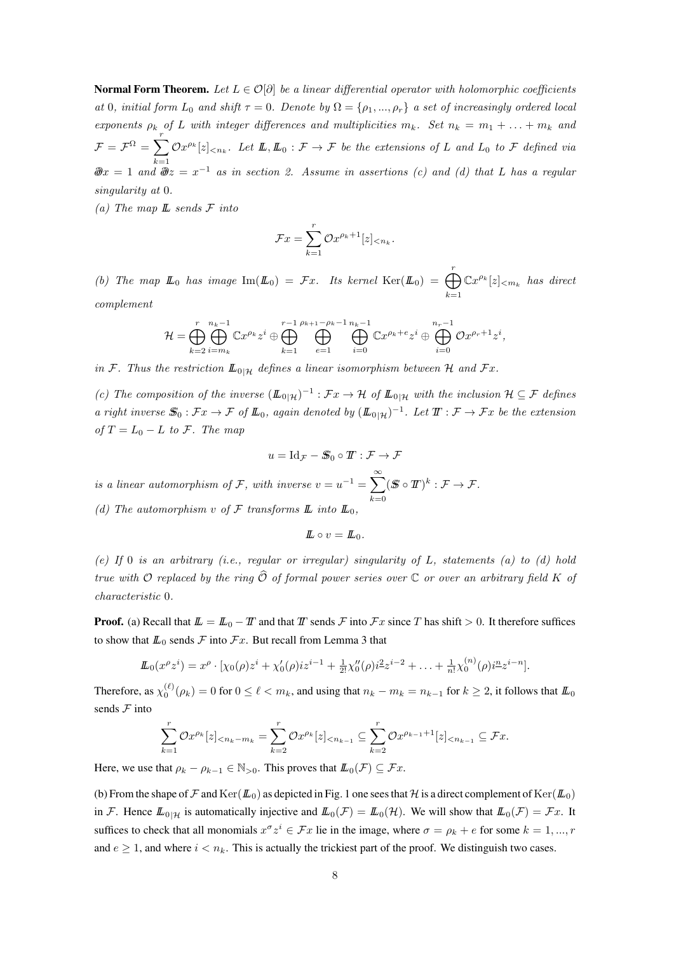**Normal Form Theorem.** Let  $L \in \mathcal{O}[\partial]$  be a linear differential operator with holomorphic coefficients at 0, initial form  $L_0$  and shift  $\tau = 0$ . Denote by  $\Omega = {\rho_1, ..., \rho_r}$  a set of increasingly ordered local exponents  $\rho_k$  of L with integer differences and multiplicities  $m_k$ . Set  $n_k = m_1 + \ldots + m_k$  and  $\mathcal{F} = \mathcal{F}^{\Omega} = \sum_{r=0}^{r}$  $k=1$  $\mathcal{O}x^{\rho_k}[z]_{\leq n_k}$ . Let  $\mathbb{L}, \mathbb{L}_0 : \mathcal{F} \to \mathcal{F}$  be the extensions of L and  $L_0$  to  $\mathcal{F}$  defined via  $\partial \mathscr{D}x = 1$  and  $\partial \mathscr{D}z = x^{-1}$  as in section 2. Assume in assertions (c) and (d) that L has a regular singularity at 0.

(a) The map  $\mathbb L$  sends  $\mathcal F$  into

$$
\mathcal{F}x = \sum_{k=1}^r \mathcal{O}x^{\rho_k+1}[z]_{< n_k}.
$$

(b) The map  $\mathbb{L}_0$  has image  $\text{Im}(\mathbb{L}_0) = \mathcal{F}x$ . Its kernel  $\text{Ker}(\mathbb{L}_0) = \bigoplus_{i=1}^r$  $k=1$  $\mathbb{C}x^{\rho_k}[z]_{\leq m_k}$  has direct complement

$$
\mathcal{H}=\bigoplus_{k=2}^r\bigoplus_{i=m_k}^{n_k-1}\mathbb{C} x^{\rho_k}z^i\oplus\bigoplus_{k=1}^{r-1}\bigoplus_{e=1}^{\rho_{k+1}-\rho_k-1}\bigoplus_{i=0}^{n_k-1}\mathbb{C} x^{\rho_k+e}z^i\oplus\bigoplus_{i=0}^{n_r-1}\mathcal{O} x^{\rho_r+1}z^i,
$$

in F. Thus the restriction  $\mathbb{L}_{0|\mathcal{H}}$  defines a linear isomorphism between H and Fx.

(c) The composition of the inverse  $(\mathbb{L}_{0|\mathcal{H}})^{-1} : \mathcal{F}x \to \mathcal{H}$  of  $\mathbb{L}_{0|\mathcal{H}}$  with the inclusion  $\mathcal{H} \subseteq \mathcal{F}$  defines a right inverse  $\mathbb{S}_0 : \mathcal{F}x \to \mathcal{F}$  of  $\mathbb{L}_0$ , again denoted by  $(\mathbb{L}_{0|\mathcal{H}})^{-1}$ . Let  $\mathbb{T} : \mathcal{F} \to \mathcal{F}x$  be the extension of  $T = L_0 - L$  to F. The map

$$
u = \mathrm{Id}_{\mathcal{F}} - \mathcal{S}_0 \circ \mathcal{I} : \mathcal{F} \to \mathcal{F}
$$

is a linear automorphism of F, with inverse  $v = u^{-1} = \sum_{n=0}^{\infty}$  $k=0$  $(\mathcal{S} \circ \mathcal{T})^k : \mathcal{F} \to \mathcal{F}.$ (d) The automorphism v of  $\mathcal F$  transforms  $\mathbb L$  into  $\mathbb L_0$ ,

 $\mathbf{L} \circ v = \mathbf{L}_0.$ 

(e) If 0 is an arbitrary (i.e., regular or irregular) singularity of  $L$ , statements (a) to (d) hold true with O replaced by the ring  $\widehat{\mathcal{O}}$  of formal power series over  $\mathbb C$  or over an arbitrary field K of characteristic 0.

**Proof.** (a) Recall that  $\mathbb{L} = \mathbb{L}_0 - T$  and that T sends F into  $Fx$  since T has shift > 0. It therefore suffices to show that  $\mathbb{L}_0$  sends  $\mathcal F$  into  $\mathcal F x$ . But recall from Lemma 3 that

$$
\mathcal{L}_0(x^{\rho}z^i) = x^{\rho} \cdot [\chi_0(\rho)z^i + \chi'_0(\rho)iz^{i-1} + \frac{1}{2!}\chi''_0(\rho)i^2z^{i-2} + \ldots + \frac{1}{n!}\chi_0^{(n)}(\rho)i^{\underline{n}}z^{i-n}].
$$

Therefore, as  $\chi_0^{(\ell)}(\rho_k)=0$  for  $0\leq \ell < m_k$ , and using that  $n_k-m_k=n_{k-1}$  for  $k\geq 2$ , it follows that  $I\!I\!I_0$ sends  $F$  into

$$
\sum_{k=1}^r \mathcal{O}x^{\rho_k}[z]_{\leq n_k-m_k} = \sum_{k=2}^r \mathcal{O}x^{\rho_k}[z]_{\leq n_{k-1}} \subseteq \sum_{k=2}^r \mathcal{O}x^{\rho_{k-1}+1}[z]_{\leq n_{k-1}} \subseteq \mathcal{F}x.
$$

Here, we use that  $\rho_k - \rho_{k-1} \in \mathbb{N}_{>0}$ . This proves that  $\mathbb{L}_0(\mathcal{F}) \subseteq \mathcal{F}x$ .

(b) From the shape of F and  $\text{Ker}(\mathbb{L}_0)$  as depicted in Fig. 1 one sees that H is a direct complement of  $\text{Ker}(\mathbb{L}_0)$ in F. Hence  $\mathbb{L}_{0|\mathcal{H}}$  is automatically injective and  $\mathbb{L}_0(\mathcal{F}) = \mathbb{L}_0(\mathcal{H})$ . We will show that  $\mathbb{L}_0(\mathcal{F}) = \mathcal{F}x$ . It suffices to check that all monomials  $x^{\sigma}z^i \in \mathcal{F}x$  lie in the image, where  $\sigma = \rho_k + e$  for some  $k = 1, ..., r$ and  $e \geq 1$ , and where  $i < n_k$ . This is actually the trickiest part of the proof. We distinguish two cases.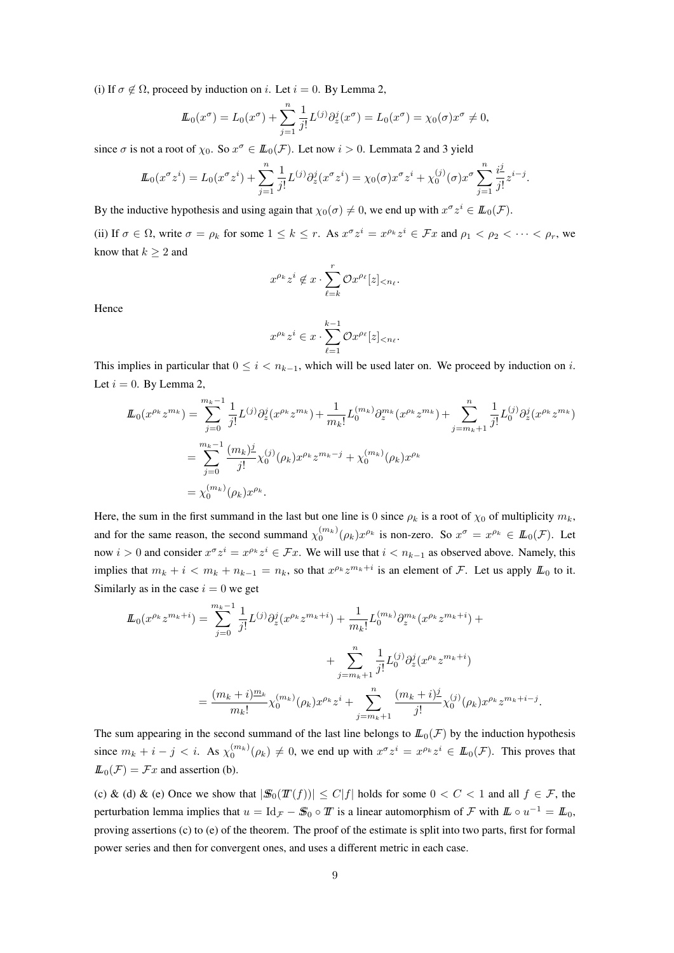(i) If  $\sigma \notin \Omega$ , proceed by induction on i. Let  $i = 0$ . By Lemma 2,

$$
\underline{L}_0(x^{\sigma}) = L_0(x^{\sigma}) + \sum_{j=1}^n \frac{1}{j!} L^{(j)} \partial_z^j(x^{\sigma}) = L_0(x^{\sigma}) = \chi_0(\sigma) x^{\sigma} \neq 0,
$$

since  $\sigma$  is not a root of  $\chi_0$ . So  $x^{\sigma} \in I\!I\!I_0(\mathcal{F})$ . Let now  $i > 0$ . Lemmata 2 and 3 yield

$$
\underline{L}_0(x^{\sigma}z^i) = L_0(x^{\sigma}z^i) + \sum_{j=1}^n \frac{1}{j!} L^{(j)} \partial_z^j (x^{\sigma}z^i) = \chi_0(\sigma) x^{\sigma} z^i + \chi_0^{(j)}(\sigma) x^{\sigma} \sum_{j=1}^n \frac{i^j}{j!} z^{i-j}.
$$

By the inductive hypothesis and using again that  $\chi_0(\sigma) \neq 0$ , we end up with  $x^{\sigma}z^i \in I\!I\!I_0(\mathcal{F})$ .

(ii) If  $\sigma \in \Omega$ , write  $\sigma = \rho_k$  for some  $1 \leq k \leq r$ . As  $x^{\sigma} z^i = x^{\rho_k} z^i \in \mathcal{F}x$  and  $\rho_1 < \rho_2 < \cdots < \rho_r$ , we know that  $k \geq 2$  and

$$
x^{\rho_k}z^i \notin x \cdot \sum_{\ell=k}^r \mathcal{O}x^{\rho_\ell}[z]_{\leq n_\ell}.
$$

Hence

$$
x^{\rho_k}z^i\in x\cdot\sum_{\ell=1}^{k-1}{\mathcal O} x^{\rho_\ell}[z]_{
$$

This implies in particular that  $0 \le i \le n_{k-1}$ , which will be used later on. We proceed by induction on i. Let  $i = 0$ . By Lemma 2,

$$
\begin{split} \mathit{I\!L}_{0}(x^{\rho_{k}}z^{m_{k}}) &= \sum_{j=0}^{m_{k}-1} \frac{1}{j!} L^{(j)} \partial_{z}^{j}(x^{\rho_{k}}z^{m_{k}}) + \frac{1}{m_{k}!} L^{(m_{k})}_{0} \partial_{z}^{m_{k}}(x^{\rho_{k}}z^{m_{k}}) + \sum_{j=m_{k}+1}^{n} \frac{1}{j!} L^{(j)}_{0} \partial_{z}^{j}(x^{\rho_{k}}z^{m_{k}}) \\ &= \sum_{j=0}^{m_{k}-1} \frac{(m_{k})_{j}^{j}}{j!} \chi_{0}^{(j)}(\rho_{k})x^{\rho_{k}}z^{m_{k}-j} + \chi_{0}^{(m_{k})}(\rho_{k})x^{\rho_{k}} \\ &= \chi_{0}^{(m_{k})}(\rho_{k})x^{\rho_{k}}. \end{split}
$$

Here, the sum in the first summand in the last but one line is 0 since  $\rho_k$  is a root of  $\chi_0$  of multiplicity  $m_k$ , and for the same reason, the second summand  $\chi_0^{(m_k)}(\rho_k)x^{\rho_k}$  is non-zero. So  $x^{\sigma} = x^{\rho_k} \in I\!L_0(\mathcal{F})$ . Let now  $i > 0$  and consider  $x^{\sigma} z^i = x^{\rho_k} z^i \in \mathcal{F}x$ . We will use that  $i < n_{k-1}$  as observed above. Namely, this implies that  $m_k + i < m_k + n_{k-1} = n_k$ , so that  $x^{\rho_k} z^{m_k + i}$  is an element of F. Let us apply  $\mathbb{L}_0$  to it. Similarly as in the case  $i = 0$  we get

$$
\begin{split} \mathit{I\!L}_{0}(x^{\rho_{k}}z^{m_{k}+i}) &= \sum_{j=0}^{m_{k}-1} \frac{1}{j!} L^{(j)} \partial_{z}^{j}(x^{\rho_{k}}z^{m_{k}+i}) + \frac{1}{m_{k}!} L^{(m_{k})}_{0} \partial_{z}^{m_{k}}(x^{\rho_{k}}z^{m_{k}+i}) + \\ &+ \sum_{j=m_{k}+1}^{n} \frac{1}{j!} L^{(j)}_{0} \partial_{z}^{j}(x^{\rho_{k}}z^{m_{k}+i}) \\ &= \frac{(m_{k}+i)^{m_{k}}}{m_{k}!} \chi_{0}^{(m_{k})}(\rho_{k})x^{\rho_{k}}z^{i} + \sum_{j=m_{k}+1}^{n} \frac{(m_{k}+i)^{j}}{j!} \chi_{0}^{(j)}(\rho_{k})x^{\rho_{k}}z^{m_{k}+i-j}. \end{split}
$$

The sum appearing in the second summand of the last line belongs to  $\mathbb{L}_0(\mathcal{F})$  by the induction hypothesis since  $m_k + i - j < i$ . As  $\chi_0^{(m_k)}(\rho_k) \neq 0$ , we end up with  $x^{\sigma} z^i = x^{\rho_k} z^i \in I\!I\!I_0(\mathcal{F})$ . This proves that  $\mathbb{L}_0(\mathcal{F}) = \mathcal{F}x$  and assertion (b).

(c) & (d) & (e) Once we show that  $|\mathcal{S}_0(T(f))| \leq C|f|$  holds for some  $0 < C < 1$  and all  $f \in \mathcal{F}$ , the perturbation lemma implies that  $u = \mathrm{Id}_{\mathcal{F}} - \mathcal{S}_0 \circ T$  is a linear automorphism of  $\mathcal F$  with  $\mathcal L \circ u^{-1} = \mathcal L_0$ , proving assertions (c) to (e) of the theorem. The proof of the estimate is split into two parts, first for formal power series and then for convergent ones, and uses a different metric in each case.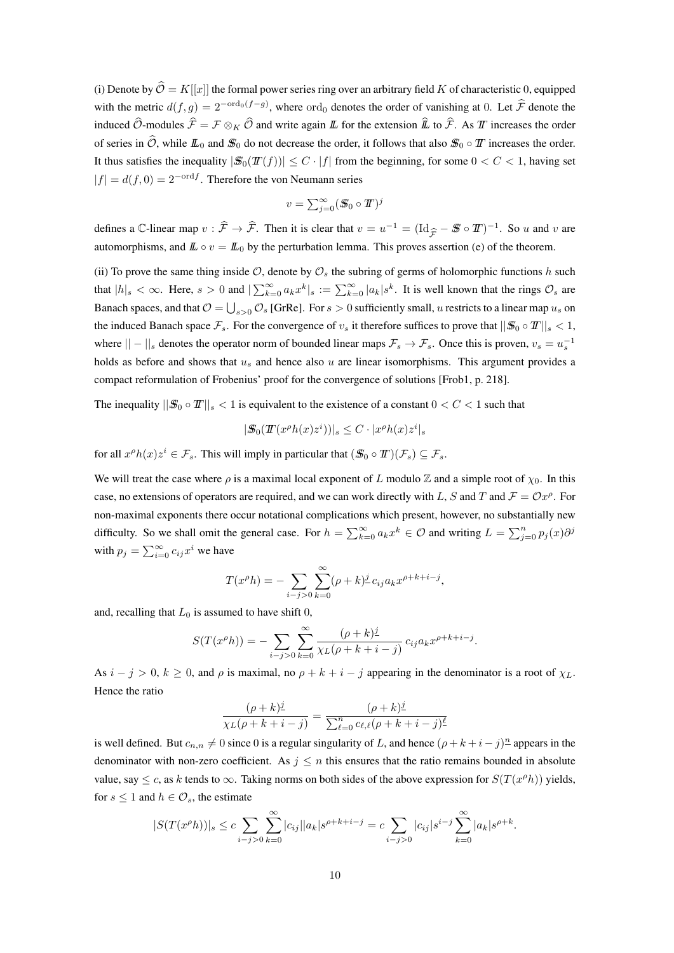(i) Denote by  $\hat{\mathcal{O}} = K[[x]]$  the formal power series ring over an arbitrary field K of characteristic 0, equipped with the metric  $d(f, g) = 2^{-\text{ord}_0(f-g)}$ , where  $\text{ord}_0$  denotes the order of vanishing at 0. Let  $\mathcal{F}$  denote the induced  $\hat{O}$ -modules  $\hat{\mathcal{F}} = \mathcal{F} \otimes_K \hat{O}$  and write again  $\mathbb{L}$  for the extension  $\hat{\mathbb{L}}$  to  $\hat{\mathcal{F}}$ . As  $T$  increases the order of series in  $\widehat{O}$ , while  $L_0$  and  $\mathcal{S}_0$  do not decrease the order, it follows that also  $\mathcal{S}_0 \circ T$  increases the order. It thus satisfies the inequality  $|\mathcal{S}_0(T(f))| \leq C \cdot |f|$  from the beginning, for some  $0 < C < 1$ , having set  $|f| = d(f, 0) = 2^{-\text{ord }f}$ . Therefore the von Neumann series

$$
v = \sum_{j=0}^{\infty} (\mathbf{S}_0 \circ \mathbf{T})^j
$$

defines a C-linear map  $v : \hat{\mathcal{F}} \to \hat{\mathcal{F}}$ . Then it is clear that  $v = u^{-1} = (\text{Id}_{\hat{\mathcal{F}}} - \mathcal{F} \circ \mathcal{T})^{-1}$ . So u and v are<br>automorphisms and  $\mathcal{F} \circ v = \mathcal{F} \circ \text{ly the perturbation lemma. This proves assertion (a) of the theorem$ automorphisms, and  $\mathbb{L} \circ v = \mathbb{L}_0$  by the perturbation lemma. This proves assertion (e) of the theorem.

(ii) To prove the same thing inside  $\mathcal{O}$ , denote by  $\mathcal{O}_s$  the subring of germs of holomorphic functions h such that  $|h|_s < \infty$ . Here,  $s > 0$  and  $|\sum_{k=0}^{\infty} a_k x^k|_s := \sum_{k=0}^{\infty} |a_k| s^k$ . It is well known that the rings  $\mathcal{O}_s$  are Banach spaces, and that  $\mathcal{O}=\bigcup_{s>0}\mathcal{O}_s$  [GrRe]. For  $s>0$  sufficiently small,  $u$  restricts to a linear map  $u_s$  on the induced Banach space  $\mathcal{F}_s$ . For the convergence of  $v_s$  it therefore suffices to prove that  $||\mathcal{S}_0 \circ T||_s < 1$ , where  $||-||_s$  denotes the operator norm of bounded linear maps  $\mathcal{F}_s \to \mathcal{F}_s$ . Once this is proven,  $v_s = u_s^{-1}$ holds as before and shows that  $u_s$  and hence also u are linear isomorphisms. This argument provides a compact reformulation of Frobenius' proof for the convergence of solutions [Frob1, p. 218].

The inequality  $||\mathcal{S}_0 \circ \mathcal{I}||_{\mathcal{S}} < 1$  is equivalent to the existence of a constant  $0 < C < 1$  such that

$$
|\mathcal{S}_0(T(x^{\rho}h(x)z^i))|_s \leq C \cdot |x^{\rho}h(x)z^i|_s
$$

for all  $x^{\rho}h(x)z^i \in \mathcal{F}_s$ . This will imply in particular that  $(\mathcal{S}_0 \circ \mathcal{T})(\mathcal{F}_s) \subseteq \mathcal{F}_s$ .

We will treat the case where  $\rho$  is a maximal local exponent of L modulo Z and a simple root of  $\chi_0$ . In this case, no extensions of operators are required, and we can work directly with L, S and T and  $\mathcal{F} = \mathcal{O}x^{\rho}$ . For non-maximal exponents there occur notational complications which present, however, no substantially new difficulty. So we shall omit the general case. For  $h = \sum_{k=0}^{\infty} a_k x^k \in \mathcal{O}$  and writing  $L = \sum_{j=0}^{n} p_j(x) \partial^j$ with  $p_j = \sum_{i=0}^{\infty} c_{ij} x^i$  we have

$$
T(x^{\rho}h) = -\sum_{i-j>0} \sum_{k=0}^{\infty} (\rho+k)^{j} c_{ij} a_k x^{\rho+k+i-j},
$$

and, recalling that  $L_0$  is assumed to have shift 0,

$$
S(T(x^{\rho}h)) = -\sum_{i-j>0} \sum_{k=0}^{\infty} \frac{(\rho+k)^{j}}{\chi_{L}(\rho+k+i-j)} c_{ij} a_{k} x^{\rho+k+i-j}.
$$

As  $i - j > 0$ ,  $k \ge 0$ , and  $\rho$  is maximal, no  $\rho + k + i - j$  appearing in the denominator is a root of  $\chi_L$ . Hence the ratio

$$
\frac{(\rho+k)^{\underline{j}}}{\chi_L(\rho+k+i-j)} = \frac{(\rho+k)^{\underline{j}}}{\sum_{\ell=0}^n c_{\ell,\ell}(\rho+k+i-j)^{\underline{\ell}}}
$$

is well defined. But  $c_{n,n} \neq 0$  since 0 is a regular singularity of L, and hence  $(\rho + k + i - j)^n$  appears in the denominator with non-zero coefficient. As  $j \leq n$  this ensures that the ratio remains bounded in absolute value, say  $\leq c$ , as k tends to  $\infty$ . Taking norms on both sides of the above expression for  $S(T(x^{\rho}h))$  yields, for  $s \leq 1$  and  $h \in \mathcal{O}_s$ , the estimate

$$
|S(T(x^{\rho}h))|_{s} \leq c \sum_{i-j>0} \sum_{k=0}^{\infty} |c_{ij}| |a_{k}| s^{\rho+k+i-j} = c \sum_{i-j>0} |c_{ij}| s^{i-j} \sum_{k=0}^{\infty} |a_{k}| s^{\rho+k}.
$$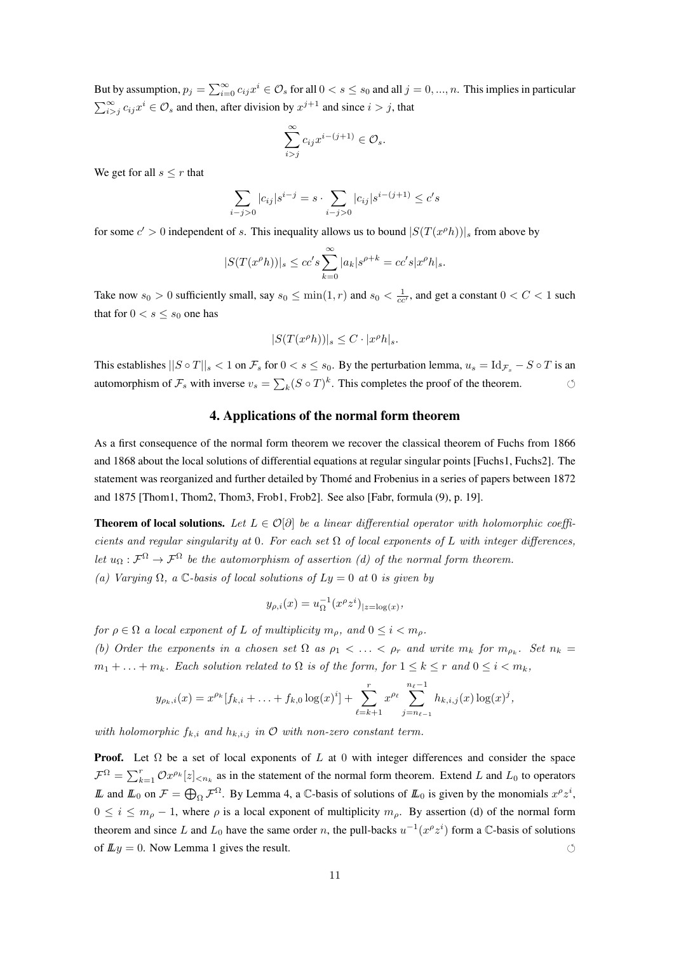But by assumption,  $p_j = \sum_{i=0}^{\infty} c_{ij} x^i \in \mathcal{O}_s$  for all  $0 < s \le s_0$  and all  $j = 0, ..., n$ . This implies in particular  $\sum_{i>j}^{\infty} c_{ij} x^i \in \mathcal{O}_s$  and then, after division by  $x^{j+1}$  and since  $i > j$ , that

$$
\sum_{i>j}^{\infty} c_{ij} x^{i-(j+1)} \in \mathcal{O}_s.
$$

We get for all  $s \leq r$  that

$$
\sum_{i-j>0} |c_{ij}| s^{i-j} = s \cdot \sum_{i-j>0} |c_{ij}| s^{i-(j+1)} \leq c' s
$$

for some  $c' > 0$  independent of s. This inequality allows us to bound  $|S(T(x<sup>p</sup>h))|_s$  from above by

$$
|S(T(x^{\rho}h))|_s \leq cc's \sum_{k=0}^{\infty} |a_k|s^{\rho+k} = cc's|x^{\rho}h|_s.
$$

Take now  $s_0 > 0$  sufficiently small, say  $s_0 \le \min(1, r)$  and  $s_0 < \frac{1}{cc'}$ , and get a constant  $0 < C < 1$  such that for  $0 < s \leq s_0$  one has

$$
|S(T(x^{\rho}h))|_{s} \leq C \cdot |x^{\rho}h|_{s}.
$$

This establishes  $||S \circ T||_s < 1$  on  $\mathcal{F}_s$  for  $0 < s \le s_0$ . By the perturbation lemma,  $u_s = \text{Id}_{\mathcal{F}_s} - S \circ T$  is an automorphism of  $\mathcal{F}_s$  with inverse  $v_s = \sum_k (S \circ T)^k$ . This completes the proof of the theorem.

## 4. Applications of the normal form theorem

As a first consequence of the normal form theorem we recover the classical theorem of Fuchs from 1866 and 1868 about the local solutions of differential equations at regular singular points [Fuchs1, Fuchs2]. The statement was reorganized and further detailed by Thomé and Frobenius in a series of papers between 1872 and 1875 [Thom1, Thom2, Thom3, Frob1, Frob2]. See also [Fabr, formula (9), p. 19].

**Theorem of local solutions.** Let  $L \in \mathcal{O}[\partial]$  be a linear differential operator with holomorphic coefficients and regular singularity at 0. For each set  $\Omega$  of local exponents of L with integer differences, let  $u_{\Omega} : \mathcal{F}^{\Omega} \to \mathcal{F}^{\Omega}$  be the automorphism of assertion (d) of the normal form theorem. (a) Varying  $\Omega$ , a C-basis of local solutions of  $Ly = 0$  at 0 is given by

$$
y_{\rho,i}(x) = u_{\Omega}^{-1}(x^{\rho}z^{i})_{|z=\log(x)},
$$

for  $\rho \in \Omega$  a local exponent of L of multiplicity  $m_{\rho}$ , and  $0 \leq i \leq m_{\rho}$ .

(b) Order the exponents in a chosen set  $\Omega$  as  $\rho_1 < \ldots < \rho_r$  and write  $m_k$  for  $m_{\rho_k}$ . Set  $n_k =$  $m_1 + \ldots + m_k$ . Each solution related to  $\Omega$  is of the form, for  $1 \leq k \leq r$  and  $0 \leq i \leq m_k$ ,

$$
y_{\rho_k,i}(x) = x^{\rho_k} [f_{k,i} + \ldots + f_{k,0} \log(x)^i] + \sum_{\ell=k+1}^r x^{\rho_\ell} \sum_{j=n_{\ell-1}}^{n_{\ell}-1} h_{k,i,j}(x) \log(x)^j,
$$

with holomorphic  $f_{k,i}$  and  $h_{k,i,j}$  in  $O$  with non-zero constant term.

**Proof.** Let  $\Omega$  be a set of local exponents of L at 0 with integer differences and consider the space  $\mathcal{F}^{\Omega} = \sum_{k=1}^{r} \mathcal{O}x^{\rho_k}[z]_{\leq n_k}$  as in the statement of the normal form theorem. Extend L and  $L_0$  to operators L and  $\mathbb{L}_0$  on  $\mathcal{F} = \bigoplus_{\Omega} \mathcal{F}^{\Omega}$ . By Lemma 4, a C-basis of solutions of  $\mathbb{L}_0$  is given by the monomials  $x^{\rho}z^i$ ,  $0 \le i \le m<sub>o</sub> - 1$ , where  $\rho$  is a local exponent of multiplicity  $m<sub>o</sub>$ . By assertion (d) of the normal form theorem and since L and  $L_0$  have the same order n, the pull-backs  $u^{-1}(x^{\rho}z^i)$  form a C-basis of solutions of  $\mathbb{L}y = 0$ . Now Lemma 1 gives the result.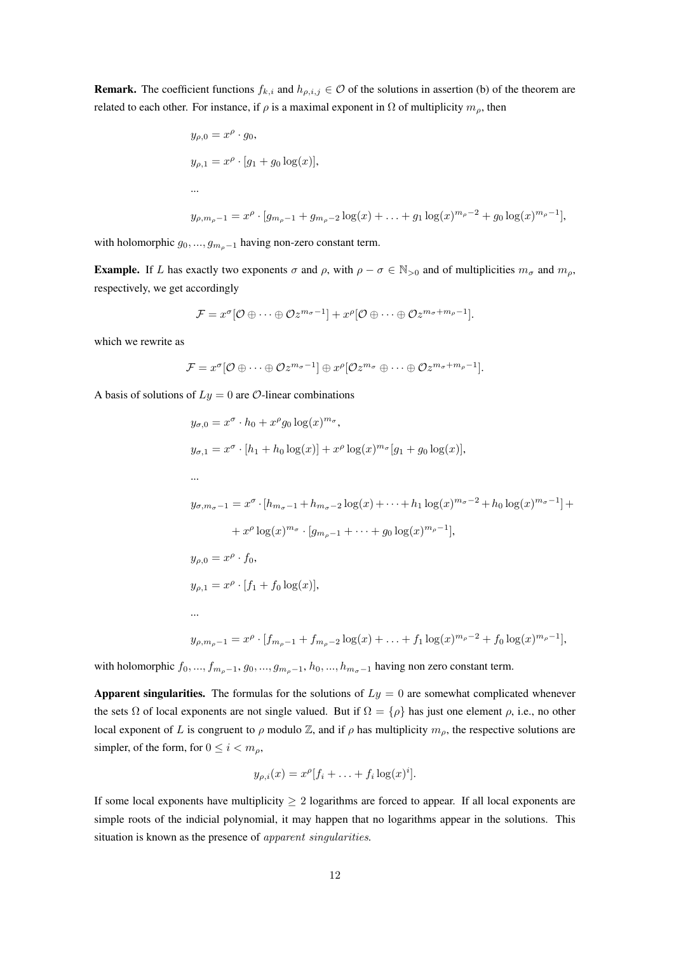**Remark.** The coefficient functions  $f_{k,i}$  and  $h_{\rho,i,j} \in \mathcal{O}$  of the solutions in assertion (b) of the theorem are related to each other. For instance, if  $\rho$  is a maximal exponent in  $\Omega$  of multiplicity  $m_{\rho}$ , then

$$
y_{\rho,0} = x^{\rho} \cdot g_0,
$$
  
\n
$$
y_{\rho,1} = x^{\rho} \cdot [g_1 + g_0 \log(x)],
$$
  
\n...  
\n
$$
y_{\rho,m_{\rho}-1} = x^{\rho} \cdot [g_{m_{\rho}-1} + g_{m_{\rho}-2} \log(x) + \dots + g_1 \log(x)^{m_{\rho}-2} + g_0 \log(x)^{m_{\rho}-1}],
$$

with holomorphic  $g_0, ..., g_{m_0-1}$  having non-zero constant term.

**Example.** If L has exactly two exponents  $\sigma$  and  $\rho$ , with  $\rho - \sigma \in \mathbb{N}_{>0}$  and of multiplicities  $m_{\sigma}$  and  $m_{\rho}$ , respectively, we get accordingly

$$
\mathcal{F} = x^{\sigma}[\mathcal{O} \oplus \cdots \oplus \mathcal{O}z^{m_{\sigma}-1}] + x^{\rho}[\mathcal{O} \oplus \cdots \oplus \mathcal{O}z^{m_{\sigma}+m_{\rho}-1}].
$$

which we rewrite as

$$
\mathcal{F}=x^{\sigma}[\mathcal{O}\oplus\cdots\oplus\mathcal{O}z^{m_{\sigma}-1}]\oplus x^{\rho}[\mathcal{O}z^{m_{\sigma}}\oplus\cdots\oplus\mathcal{O}z^{m_{\sigma}+m_{\rho}-1}].
$$

A basis of solutions of  $Ly = 0$  are  $\mathcal{O}$ -linear combinations

$$
y_{\sigma,0} = x^{\sigma} \cdot h_0 + x^{\rho} g_0 \log(x)^{m_{\sigma}},
$$
  
\n
$$
y_{\sigma,1} = x^{\sigma} \cdot [h_1 + h_0 \log(x)] + x^{\rho} \log(x)^{m_{\sigma}} [g_1 + g_0 \log(x)],
$$
  
\n...  
\n
$$
y_{\sigma,m_{\sigma}-1} = x^{\sigma} \cdot [h_{m_{\sigma}-1} + h_{m_{\sigma}-2} \log(x) + \dots + h_1 \log(x)^{m_{\sigma}-2} + h_0 \log(x)^{m_{\sigma}-1}] +
$$
  
\n
$$
+ x^{\rho} \log(x)^{m_{\sigma}} \cdot [g_{m_{\rho}-1} + \dots + g_0 \log(x)^{m_{\rho}-1}],
$$
  
\n
$$
y_{\rho,0} = x^{\rho} \cdot f_0,
$$
  
\n
$$
y_{\rho,1} = x^{\rho} \cdot [f_1 + f_0 \log(x)],
$$
  
\n...  
\n
$$
y_{\rho,m_{\rho}-1} = x^{\rho} \cdot [f_{m_{\rho}-1} + f_{m_{\rho}-2} \log(x) + \dots + f_1 \log(x)^{m_{\rho}-2} + f_0 \log(x)^{m_{\rho}-1}],
$$

with holomorphic  $f_0, ..., f_{m_p-1}, g_0, ..., g_{m_p-1}, h_0, ..., h_{m_q-1}$  having non zero constant term.

Apparent singularities. The formulas for the solutions of  $Ly = 0$  are somewhat complicated whenever the sets  $\Omega$  of local exponents are not single valued. But if  $\Omega = {\rho}$  has just one element  $\rho$ , i.e., no other local exponent of L is congruent to  $\rho$  modulo Z, and if  $\rho$  has multiplicity  $m_{\rho}$ , the respective solutions are simpler, of the form, for  $0 \le i < m_\rho$ ,

$$
y_{\rho,i}(x) = x^{\rho}[f_i + \ldots + f_i \log(x)^i].
$$

If some local exponents have multiplicity  $> 2$  logarithms are forced to appear. If all local exponents are simple roots of the indicial polynomial, it may happen that no logarithms appear in the solutions. This situation is known as the presence of *apparent singularities*.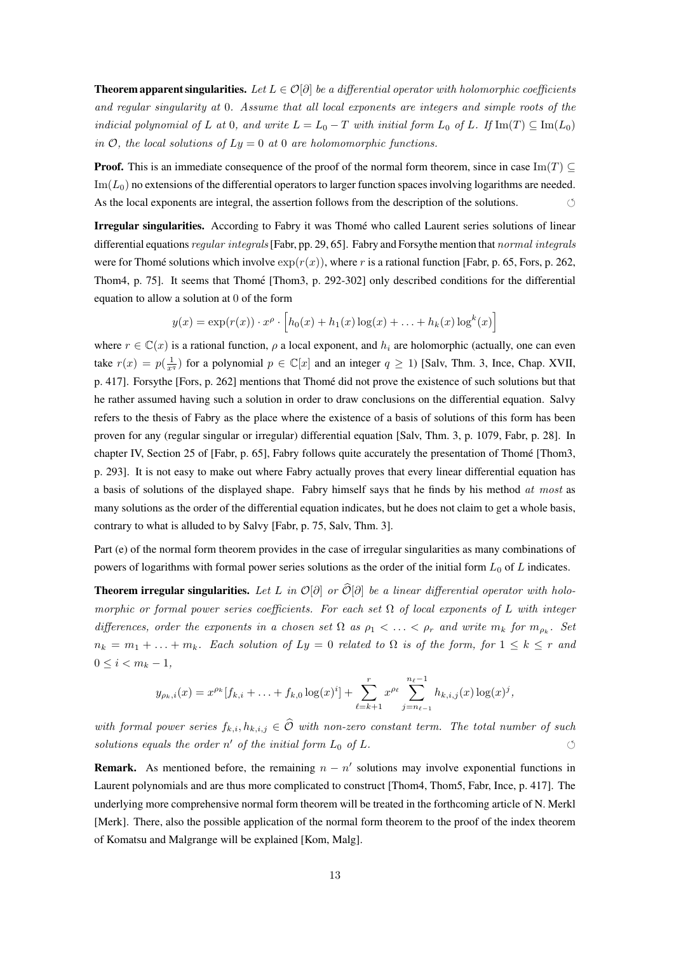**Theorem apparent singularities.** Let  $L \in \mathcal{O}[\partial]$  be a differential operator with holomorphic coefficients and regular singularity at 0. Assume that all local exponents are integers and simple roots of the indicial polynomial of L at 0, and write  $L = L_0 - T$  with initial form  $L_0$  of L. If Im(T)  $\subseteq \text{Im}(L_0)$ in  $\mathcal{O}$ , the local solutions of  $Ly = 0$  at 0 are holomomorphic functions.

**Proof.** This is an immediate consequence of the proof of the normal form theorem, since in case Im(T)  $\subseteq$  $\text{Im}(L_0)$  no extensions of the differential operators to larger function spaces involving logarithms are needed. As the local exponents are integral, the assertion follows from the description of the solutions. 

Irregular singularities. According to Fabry it was Thomé who called Laurent series solutions of linear differential equations *regular integrals* [Fabr, pp. 29, 65]. Fabry and Forsythe mention that *normal integrals* were for Thomé solutions which involve  $\exp(r(x))$ , where r is a rational function [Fabr, p. 65, Fors, p. 262, Thom4, p. 75]. It seems that Thomé [Thom3, p. 292-302] only described conditions for the differential equation to allow a solution at 0 of the form

$$
y(x) = \exp(r(x)) \cdot x^{\rho} \cdot \left[ h_0(x) + h_1(x) \log(x) + \ldots + h_k(x) \log^k(x) \right]
$$

where  $r \in \mathbb{C}(x)$  is a rational function,  $\rho$  a local exponent, and  $h_i$  are holomorphic (actually, one can even take  $r(x) = p(\frac{1}{x^q})$  for a polynomial  $p \in \mathbb{C}[x]$  and an integer  $q \ge 1$ ) [Salv, Thm. 3, Ince, Chap. XVII, p. 417]. Forsythe [Fors, p. 262] mentions that Thome did not prove the existence of such solutions but that ´ he rather assumed having such a solution in order to draw conclusions on the differential equation. Salvy refers to the thesis of Fabry as the place where the existence of a basis of solutions of this form has been proven for any (regular singular or irregular) differential equation [Salv, Thm. 3, p. 1079, Fabr, p. 28]. In chapter IV, Section 25 of [Fabr, p. 65], Fabry follows quite accurately the presentation of Thome [Thom3, ´ p. 293]. It is not easy to make out where Fabry actually proves that every linear differential equation has a basis of solutions of the displayed shape. Fabry himself says that he finds by his method at most as many solutions as the order of the differential equation indicates, but he does not claim to get a whole basis, contrary to what is alluded to by Salvy [Fabr, p. 75, Salv, Thm. 3].

Part (e) of the normal form theorem provides in the case of irregular singularities as many combinations of powers of logarithms with formal power series solutions as the order of the initial form  $L_0$  of L indicates.

**Theorem irregular singularities.** Let L in  $\mathcal{O}[\partial]$  or  $\widehat{\mathcal{O}}[\partial]$  be a linear differential operator with holomorphic or formal power series coefficients. For each set  $\Omega$  of local exponents of L with integer differences, order the exponents in a chosen set  $\Omega$  as  $\rho_1 < \ldots < \rho_r$  and write  $m_k$  for  $m_{\rho_k}$ . Set  $n_k = m_1 + \ldots + m_k$ . Each solution of  $Ly = 0$  related to  $\Omega$  is of the form, for  $1 \leq k \leq r$  and  $0 \leq i < m_k - 1,$ 

$$
y_{\rho_k,i}(x) = x^{\rho_k} [f_{k,i} + \ldots + f_{k,0} \log(x)^i] + \sum_{\ell=k+1}^r x^{\rho_\ell} \sum_{j=n_{\ell-1}}^{n_{\ell}-1} h_{k,i,j}(x) \log(x)^j,
$$

with formal power series  $f_{k,i}, h_{k,i,j} \in \hat{\mathcal{O}}$  with non-zero constant term. The total number of such solutions equals the order n' of the initial form  $L_0$  of  $L$ .

**Remark.** As mentioned before, the remaining  $n - n'$  solutions may involve exponential functions in Laurent polynomials and are thus more complicated to construct [Thom4, Thom5, Fabr, Ince, p. 417]. The underlying more comprehensive normal form theorem will be treated in the forthcoming article of N. Merkl [Merk]. There, also the possible application of the normal form theorem to the proof of the index theorem of Komatsu and Malgrange will be explained [Kom, Malg].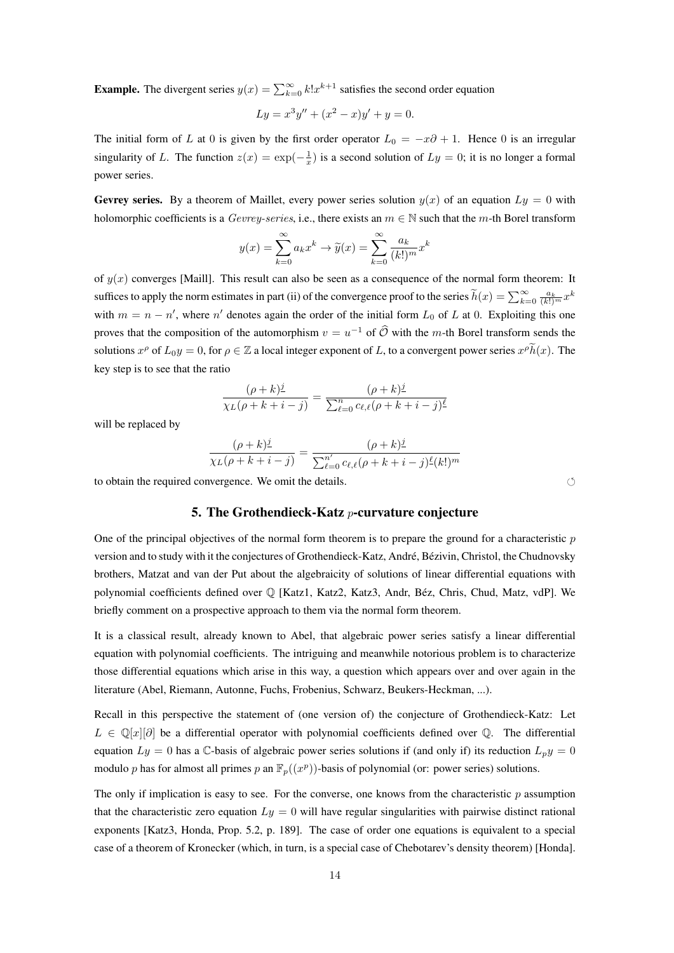**Example.** The divergent series  $y(x) = \sum_{k=0}^{\infty} k! x^{k+1}$  satisfies the second order equation

$$
Ly = x^3y'' + (x^2 - x)y' + y = 0.
$$

The initial form of L at 0 is given by the first order operator  $L_0 = -x\partial + 1$ . Hence 0 is an irregular singularity of L. The function  $z(x) = \exp(-\frac{1}{x})$  is a second solution of  $Ly = 0$ ; it is no longer a formal power series.

Gevrey series. By a theorem of Maillet, every power series solution  $y(x)$  of an equation  $Ly = 0$  with holomorphic coefficients is a Gevrey-series, i.e., there exists an  $m \in \mathbb{N}$  such that the m-th Borel transform

$$
y(x) = \sum_{k=0}^{\infty} a_k x^k \to \tilde{y}(x) = \sum_{k=0}^{\infty} \frac{a_k}{(k!)^m} x^k
$$

of  $y(x)$  converges [Maill]. This result can also be seen as a consequence of the normal form theorem: It suffices to apply the norm estimates in part (ii) of the convergence proof to the series  $\widetilde{h}(x) = \sum_{k=0}^{\infty} \frac{a_k}{(k!)^m} x^k$ with  $m = n - n'$ , where n' denotes again the order of the initial form  $L_0$  of L at 0. Exploiting this one proves that the composition of the automorphism  $v = u^{-1}$  of  $\widehat{O}$  with the *m*-th Borel transform sends the solutions  $x^{\rho}$  of  $L_0y = 0$ , for  $\rho \in \mathbb{Z}$  a local integer exponent of L, to a convergent power series  $x^{\rho} \tilde{h}(x)$ . The key step is to see that the ratio

$$
\frac{(\rho + k)^{\underline{j}}}{\chi_L(\rho + k + i - j)} = \frac{(\rho + k)^{\underline{j}}}{\sum_{\ell=0}^n c_{\ell,\ell}(\rho + k + i - j)^{\underline{\ell}}}
$$

will be replaced by

$$
\frac{(\rho + k)^{\underline{j}}}{\chi_L(\rho + k + i - j)} = \frac{(\rho + k)^{\underline{j}}}{\sum_{\ell=0}^{n'} c_{\ell,\ell}(\rho + k + i - j)^{\underline{\ell}}(k!)^m}
$$

to obtain the required convergence. We omit the details. 

### 5. The Grothendieck-Katz  $p$ -curvature conjecture

One of the principal objectives of the normal form theorem is to prepare the ground for a characteristic  $p$ version and to study with it the conjectures of Grothendieck-Katz, André, Bézivin, Christol, the Chudnovsky brothers, Matzat and van der Put about the algebraicity of solutions of linear differential equations with polynomial coefficients defined over  $\mathbb Q$  [Katz1, Katz2, Katz3, Andr, Béz, Chris, Chud, Matz, vdP]. We briefly comment on a prospective approach to them via the normal form theorem.

It is a classical result, already known to Abel, that algebraic power series satisfy a linear differential equation with polynomial coefficients. The intriguing and meanwhile notorious problem is to characterize those differential equations which arise in this way, a question which appears over and over again in the literature (Abel, Riemann, Autonne, Fuchs, Frobenius, Schwarz, Beukers-Heckman, ...).

Recall in this perspective the statement of (one version of) the conjecture of Grothendieck-Katz: Let  $L \in \mathbb{Q}[x][\partial]$  be a differential operator with polynomial coefficients defined over Q. The differential equation  $Ly = 0$  has a C-basis of algebraic power series solutions if (and only if) its reduction  $L<sub>p</sub>y = 0$ modulo p has for almost all primes p an  $\mathbb{F}_p((x^p))$ -basis of polynomial (or: power series) solutions.

The only if implication is easy to see. For the converse, one knows from the characteristic  $p$  assumption that the characteristic zero equation  $Ly = 0$  will have regular singularities with pairwise distinct rational exponents [Katz3, Honda, Prop. 5.2, p. 189]. The case of order one equations is equivalent to a special case of a theorem of Kronecker (which, in turn, is a special case of Chebotarev's density theorem) [Honda].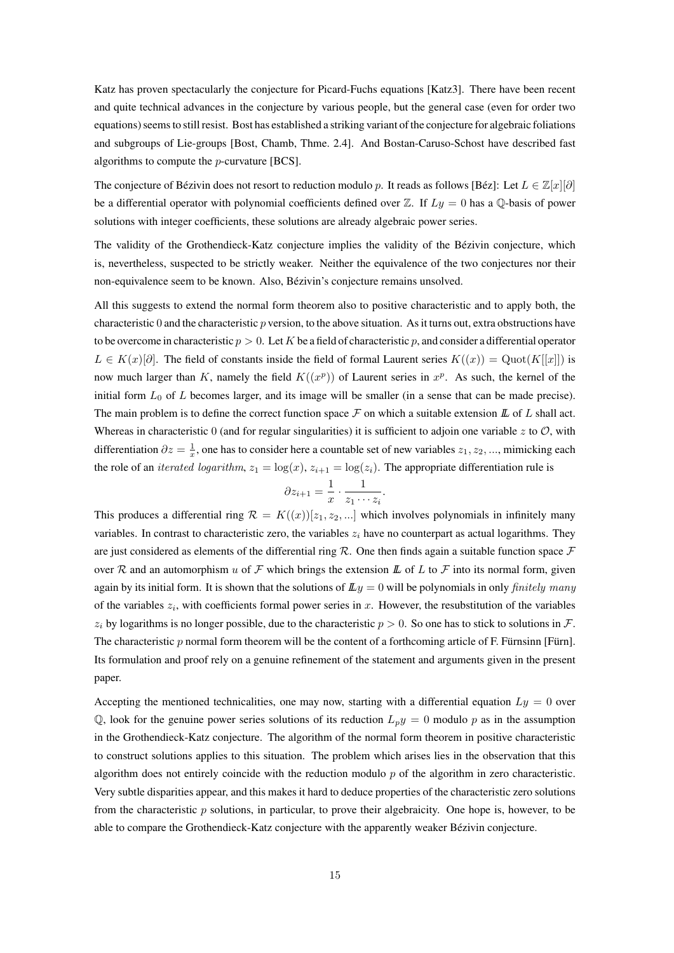Katz has proven spectacularly the conjecture for Picard-Fuchs equations [Katz3]. There have been recent and quite technical advances in the conjecture by various people, but the general case (even for order two equations) seems to still resist. Bost has established a striking variant of the conjecture for algebraic foliations and subgroups of Lie-groups [Bost, Chamb, Thme. 2.4]. And Bostan-Caruso-Schost have described fast algorithms to compute the p-curvature [BCS].

The conjecture of Bézivin does not resort to reduction modulo p. It reads as follows [Béz]: Let  $L \in \mathbb{Z}[x][\partial]$ be a differential operator with polynomial coefficients defined over  $\mathbb Z$ . If  $Ly = 0$  has a Q-basis of power solutions with integer coefficients, these solutions are already algebraic power series.

The validity of the Grothendieck-Katz conjecture implies the validity of the Bezivin conjecture, which ´ is, nevertheless, suspected to be strictly weaker. Neither the equivalence of the two conjectures nor their non-equivalence seem to be known. Also, Bézivin's conjecture remains unsolved.

All this suggests to extend the normal form theorem also to positive characteristic and to apply both, the characteristic 0 and the characteristic  $p$  version, to the above situation. As it turns out, extra obstructions have to be overcome in characteristic  $p > 0$ . Let K be a field of characteristic p, and consider a differential operator  $L \in K(x)[\partial]$ . The field of constants inside the field of formal Laurent series  $K((x)) = \text{Quot}(K[[x]])$  is now much larger than K, namely the field  $K((x^p))$  of Laurent series in  $x^p$ . As such, the kernel of the initial form  $L_0$  of L becomes larger, and its image will be smaller (in a sense that can be made precise). The main problem is to define the correct function space  $\mathcal F$  on which a suitable extension  $\mathbb L$  of  $L$  shall act. Whereas in characteristic 0 (and for regular singularities) it is sufficient to adjoin one variable z to  $\mathcal{O}$ , with differentiation  $\partial z = \frac{1}{x}$ , one has to consider here a countable set of new variables  $z_1, z_2, ...,$  mimicking each the role of an *iterated logarithm*,  $z_1 = \log(x)$ ,  $z_{i+1} = \log(z_i)$ . The appropriate differentiation rule is

$$
\partial z_{i+1} = \frac{1}{x} \cdot \frac{1}{z_1 \cdots z_i}.
$$

This produces a differential ring  $\mathcal{R} = K((x))[z_1, z_2, \ldots]$  which involves polynomials in infinitely many variables. In contrast to characteristic zero, the variables  $z_i$  have no counterpart as actual logarithms. They are just considered as elements of the differential ring  $R$ . One then finds again a suitable function space  $\mathcal F$ over R and an automorphism u of F which brings the extension L of L to F into its normal form, given again by its initial form. It is shown that the solutions of  $\mathbb{L}y = 0$  will be polynomials in only *finitely many* of the variables  $z_i$ , with coefficients formal power series in x. However, the resubstitution of the variables  $z_i$  by logarithms is no longer possible, due to the characteristic  $p > 0$ . So one has to stick to solutions in F. The characteristic p normal form theorem will be the content of a forthcoming article of F. Fürnsinn [Fürn]. Its formulation and proof rely on a genuine refinement of the statement and arguments given in the present paper.

Accepting the mentioned technicalities, one may now, starting with a differential equation  $Ly = 0$  over  $\mathbb{Q}$ , look for the genuine power series solutions of its reduction  $L_p y = 0$  modulo p as in the assumption in the Grothendieck-Katz conjecture. The algorithm of the normal form theorem in positive characteristic to construct solutions applies to this situation. The problem which arises lies in the observation that this algorithm does not entirely coincide with the reduction modulo  $p$  of the algorithm in zero characteristic. Very subtle disparities appear, and this makes it hard to deduce properties of the characteristic zero solutions from the characteristic  $p$  solutions, in particular, to prove their algebraicity. One hope is, however, to be able to compare the Grothendieck-Katz conjecture with the apparently weaker Bézivin conjecture.